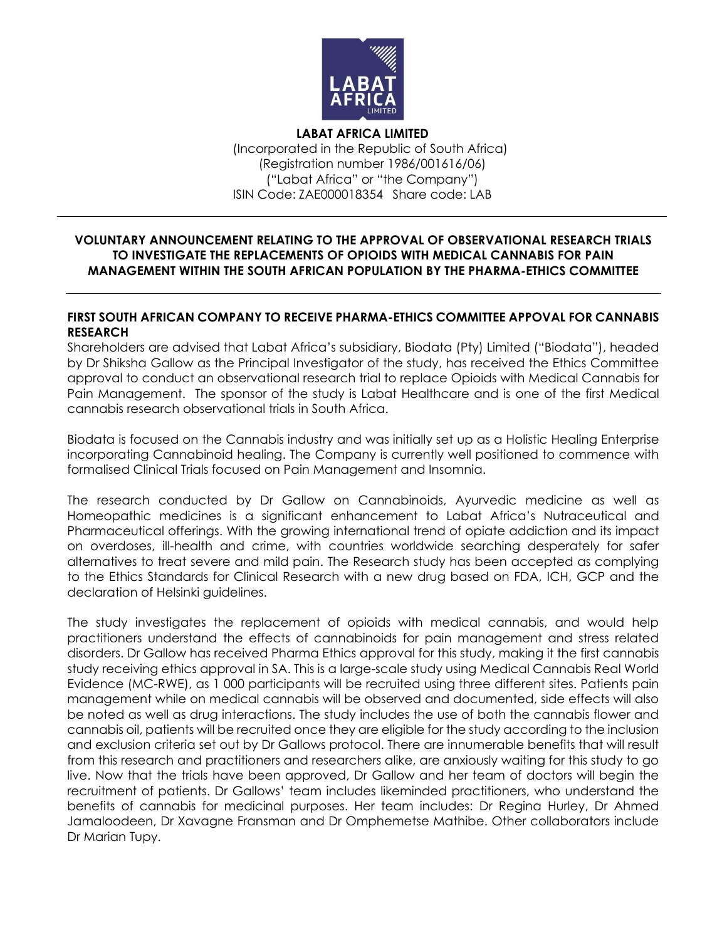

**LABAT AFRICA LIMITED** (Incorporated in the Republic of South Africa) (Registration number 1986/001616/06) ("Labat Africa" or "the Company") ISIN Code: ZAE000018354 Share code: LAB

## **VOLUNTARY ANNOUNCEMENT RELATING TO THE APPROVAL OF OBSERVATIONAL RESEARCH TRIALS TO INVESTIGATE THE REPLACEMENTS OF OPIOIDS WITH MEDICAL CANNABIS FOR PAIN MANAGEMENT WITHIN THE SOUTH AFRICAN POPULATION BY THE PHARMA-ETHICS COMMITTEE**

## **FIRST SOUTH AFRICAN COMPANY TO RECEIVE PHARMA-ETHICS COMMITTEE APPOVAL FOR CANNABIS RESEARCH**

Shareholders are advised that Labat Africa's subsidiary, Biodata (Pty) Limited ("Biodata"), headed by Dr Shiksha Gallow as the Principal Investigator of the study, has received the Ethics Committee approval to conduct an observational research trial to replace Opioids with Medical Cannabis for Pain Management. The sponsor of the study is Labat Healthcare and is one of the first Medical cannabis research observational trials in South Africa.

Biodata is focused on the Cannabis industry and was initially set up as a Holistic Healing Enterprise incorporating Cannabinoid healing. The Company is currently well positioned to commence with formalised Clinical Trials focused on Pain Management and Insomnia.

The research conducted by Dr Gallow on Cannabinoids, Ayurvedic medicine as well as Homeopathic medicines is a significant enhancement to Labat Africa's Nutraceutical and Pharmaceutical offerings. With the growing international trend of opiate addiction and its impact on overdoses, ill-health and crime, with countries worldwide searching desperately for safer alternatives to treat severe and mild pain. The Research study has been accepted as complying to the Ethics Standards for Clinical Research with a new drug based on FDA, ICH, GCP and the declaration of Helsinki guidelines.

The study investigates the replacement of opioids with medical cannabis, and would help practitioners understand the effects of cannabinoids for pain management and stress related disorders. Dr Gallow has received Pharma Ethics approval for this study, making it the first cannabis study receiving ethics approval in SA. This is a large-scale study using Medical Cannabis Real World Evidence (MC-RWE), as 1 000 participants will be recruited using three different sites. Patients pain management while on medical cannabis will be observed and documented, side effects will also be noted as well as drug interactions. The study includes the use of both the cannabis flower and cannabis oil, patients will be recruited once they are eligible for the study according to the inclusion and exclusion criteria set out by Dr Gallows protocol. There are innumerable benefits that will result from this research and practitioners and researchers alike, are anxiously waiting for this study to go live. Now that the trials have been approved, Dr Gallow and her team of doctors will begin the recruitment of patients. Dr Gallows' team includes likeminded practitioners, who understand the benefits of cannabis for medicinal purposes. Her team includes: Dr Regina Hurley, Dr Ahmed Jamaloodeen, Dr Xavagne Fransman and Dr Omphemetse Mathibe. Other collaborators include Dr Marian Tupy.